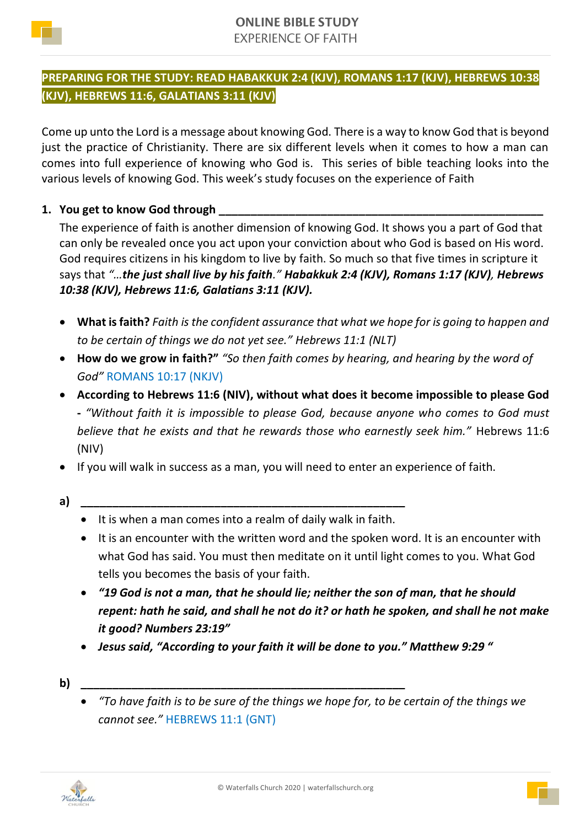

## **PREPARING FOR THE STUDY: READ HABAKKUK 2:4 (KJV), ROMANS 1:17 (KJV), HEBREWS 10:38 (KJV), HEBREWS 11:6, GALATIANS 3:11 (KJV)**

Come up unto the Lord is a message about knowing God. There is a way to know God that is beyond just the practice of Christianity. There are six different levels when it comes to how a man can comes into full experience of knowing who God is. This series of bible teaching looks into the various levels of knowing God. This week's study focuses on the experience of Faith

## **1. You get to know God through \_\_\_\_\_\_\_\_\_\_\_\_\_\_\_\_\_\_\_\_\_\_\_\_\_\_\_\_\_\_\_\_\_\_\_\_\_\_\_\_\_\_\_\_\_\_\_\_\_\_\_**

The experience of faith is another dimension of knowing God. It shows you a part of God that can only be revealed once you act upon your conviction about who God is based on His word. God requires citizens in his kingdom to live by faith. So much so that five times in scripture it says that *"…the just shall live by his faith." Habakkuk 2:4 (KJV), Romans 1:17 (KJV), Hebrews 10:38 (KJV), Hebrews 11:6, Galatians 3:11 (KJV).*

- **What is faith?** *Faith is the confident assurance that what we hope for is going to happen and to be certain of things we do not yet see." Hebrews 11:1 (NLT)*
- **How do we grow in faith?"** *"So then faith comes by hearing, and hearing by the word of God"* ROMANS 10:17 (NKJV)
- **According to Hebrews 11:6 (NIV), without what does it become impossible to please God -** *"Without faith it is impossible to please God, because anyone who comes to God must believe that he exists and that he rewards those who earnestly seek him."* Hebrews 11:6 (NIV)
- If you will walk in success as a man, you will need to enter an experience of faith.
- **a) \_\_\_\_\_\_\_\_\_\_\_\_\_\_\_\_\_\_\_\_\_\_\_\_\_\_\_\_\_\_\_\_\_\_\_\_\_\_\_\_\_\_\_\_\_\_\_\_\_\_\_**
	- It is when a man comes into a realm of daily walk in faith.
	- It is an encounter with the written word and the spoken word. It is an encounter with what God has said. You must then meditate on it until light comes to you. What God tells you becomes the basis of your faith.
	- *"19 God is not a man, that he should lie; neither the son of man, that he should repent: hath he said, and shall he not do it? or hath he spoken, and shall he not make it good? Numbers 23:19"*
	- *Jesus said, "According to your faith it will be done to you." Matthew 9:29 "*
- **b) \_\_\_\_\_\_\_\_\_\_\_\_\_\_\_\_\_\_\_\_\_\_\_\_\_\_\_\_\_\_\_\_\_\_\_\_\_\_\_\_\_\_\_\_\_\_\_\_\_\_\_**





<sup>•</sup> *"To have faith is to be sure of the things we hope for, to be certain of the things we cannot see."* HEBREWS 11:1 (GNT)